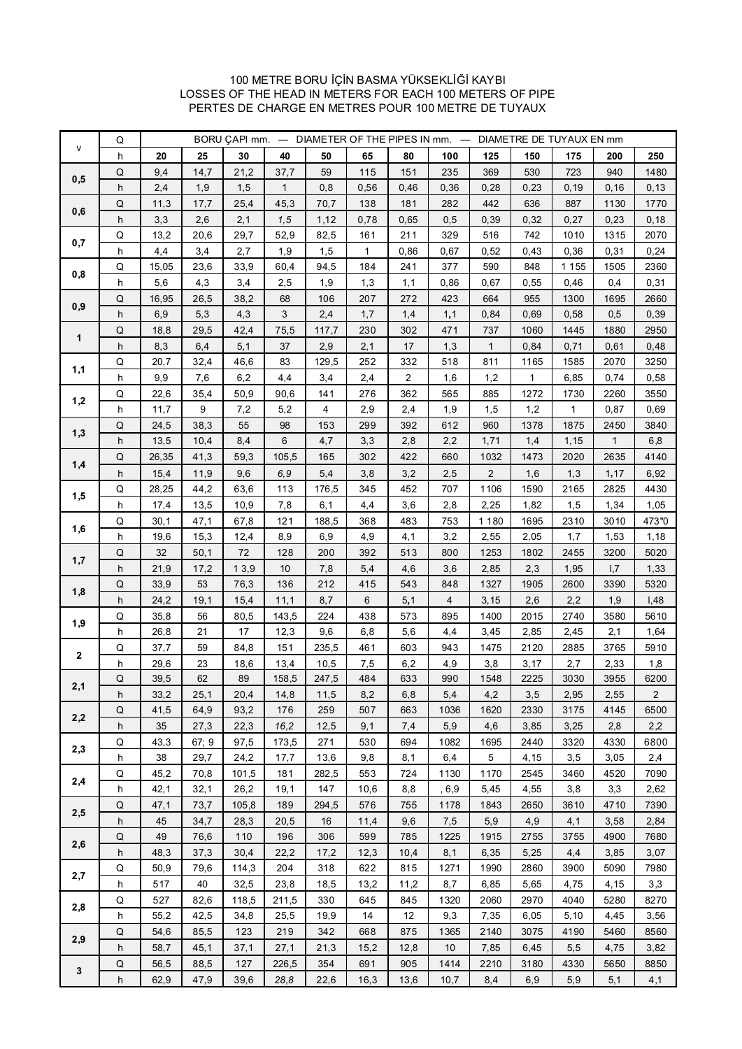#### 100 METRE BORU İÇİN BASMA YÜKSEKLİĞİ KAYBI LOSSES OF THE HEAD IN METERS FOR EACH 100 METERS OF PIPE PERTES DE CHARGE EN METRES POUR 100 METRE DE TUYAUX

|              | Q         | BORU CAPI mm. - DIAMETER OF THE PIPES IN mm. -<br>DIAMETRE DE TUYAUX EN mm |              |              |              |              |             |             |            |                 |              |             |                                                                                                                                                                                                                                                             |                |  |  |  |
|--------------|-----------|----------------------------------------------------------------------------|--------------|--------------|--------------|--------------|-------------|-------------|------------|-----------------|--------------|-------------|-------------------------------------------------------------------------------------------------------------------------------------------------------------------------------------------------------------------------------------------------------------|----------------|--|--|--|
| v            | h         | 20                                                                         | 25           | 30           | 40           | 50           | 65          | 80          | 100        | 125             | 150          | 175         | 200                                                                                                                                                                                                                                                         | 250            |  |  |  |
| 0,5          | Q         | 9,4                                                                        | 14,7         | 21,2         | 37,7         | 59           | 115         | 151         | 235        | 369             | 530          | 723         | 940                                                                                                                                                                                                                                                         | 1480           |  |  |  |
|              | h         | 2,4                                                                        | 1,9          | 1,5          | $\mathbf{1}$ | 0,8          | 0,56        | 0,46        | 0,36       | 0,28            | 0,23         | 0, 19       | 0, 16                                                                                                                                                                                                                                                       | 0, 13          |  |  |  |
| 0,6          | Q         | 11,3                                                                       | 17,7         | 25,4         | 45,3         | 70,7         | 138         | 181         | 282        | 442             | 636          | 887         | 1130                                                                                                                                                                                                                                                        | 1770           |  |  |  |
|              | h         | 3,3                                                                        | 2,6          | 2,1          | 1, 5         | 1,12         | 0,78        | 0,65        | 0,5        | 0,39            | 0,32         | 0,27        | 0,23                                                                                                                                                                                                                                                        | 0, 18          |  |  |  |
| 0,7          | Q         | 13,2                                                                       | 20,6         | 29,7         | 52,9         | 82,5         | 161         | 211         | 329        | 516             | 742          | 1010        | 1315                                                                                                                                                                                                                                                        | 2070           |  |  |  |
|              | h         | 4,4                                                                        | 3,4          | 2,7          | 1,9          | 1,5          | 1           | 0,86        | 0,67       | 0,52            | 0,43         | 0,36        | 0,31                                                                                                                                                                                                                                                        | 0,24           |  |  |  |
| 0,8          | Q         | 15,05                                                                      | 23,6         | 33,9         | 60,4         | 94,5         | 184         | 241         | 377        | 590             | 848          | 1 1 5 5     | 1505                                                                                                                                                                                                                                                        | 2360           |  |  |  |
|              | h         | 5,6                                                                        | 4,3          | 3,4          | 2,5          | 1,9          | 1,3         | 1,1         | 0,86       | 0,67            | 0,55         | 0,46        | 0,4                                                                                                                                                                                                                                                         | 0,31           |  |  |  |
| 0,9          | Q         | 16,95                                                                      | 26,5         | 38,2         | 68           | 106          | 207         | 272         | 423        | 664             | 955          | 1300        | 1695                                                                                                                                                                                                                                                        | 2660           |  |  |  |
|              | h         | 6,9                                                                        | 5,3          | 4,3          | 3            | 2,4          | 1,7         | 1,4         | 1,1        | 0,84            | 0,69         | 0,58        |                                                                                                                                                                                                                                                             | 0,39           |  |  |  |
| 1            | Q         | 18,8                                                                       | 29,5         | 42,4         | 75,5         | 117,7        | 230         | 302         | 471        | 737             | 1060         | 1445        | 1880                                                                                                                                                                                                                                                        | 2950           |  |  |  |
|              | h         | 8,3                                                                        | 6,4          | 5,1          | 37           | 2,9          | 2,1         | 17          | 1,3        | 1               | 0,84         | 0,71        |                                                                                                                                                                                                                                                             | 0,48           |  |  |  |
| 1,1          | Q         | 20,7                                                                       | 32,4         | 46,6         | 83           | 129,5        | 252         | 332         | 518        | 811             | 1165         | 1585        |                                                                                                                                                                                                                                                             | 3250           |  |  |  |
|              | h         | 9,9                                                                        | 7,6          | 6,2          | 4,4          | 3,4          | 2,4         | 2           | 1,6        | 1,2             | 1            | 6,85        |                                                                                                                                                                                                                                                             | 0,58           |  |  |  |
| 1,2          | Q         | 22,6                                                                       | 35,4         | 50,9         | 90,6         | 141          | 276         | 362         | 565        | 885             | 1272         | 1730        |                                                                                                                                                                                                                                                             | 3550           |  |  |  |
|              | h         | 11,7                                                                       | 9            | 7,2          | 5,2          | 4            | 2,9         | 2,4         | 1,9        | 1,5             | 1,2          | 1           |                                                                                                                                                                                                                                                             | 0,69           |  |  |  |
| 1,3          | Q         | 24,5                                                                       | 38,3         | 55           | 98           | 153          | 299         | 392         | 612        | 960             | 1378         | 1875        |                                                                                                                                                                                                                                                             | 3840           |  |  |  |
|              | h         | 13,5                                                                       | 10,4         | 8,4          | 6            | 4,7          | 3,3         | 2,8         | 2,2        | 1,71            | 1,4          | 1,15        |                                                                                                                                                                                                                                                             | 6,8            |  |  |  |
| 1,4          | Q         | 26,35                                                                      | 41,3         | 59,3         | 105,5        | 165          | 302         | 422         | 660        | 1032            | 1473         | 2020        |                                                                                                                                                                                                                                                             | 4140           |  |  |  |
|              | h         | 15,4                                                                       | 11,9         | 9,6          | 6,9          | 5,4          | 3,8         | 3,2         | 2,5        | 2               | 1,6          | 1,3         |                                                                                                                                                                                                                                                             | 6,92           |  |  |  |
| 1,5          | Q         | 28,25                                                                      | 44,2         | 63,6         | 113          | 176,5        | 345         | 452         | 707        | 1106            | 1590         | 2165        |                                                                                                                                                                                                                                                             | 4430           |  |  |  |
| 1,6<br>1,7   | h<br>Q    | 17,4<br>30,1                                                               | 13,5<br>47,1 | 10,9<br>67,8 | 7,8<br>121   | 6,1<br>188,5 | 4,4<br>368  | 3,6<br>483  | 2,8<br>753 | 2,25<br>1 1 8 0 | 1,82<br>1695 | 1,5<br>2310 |                                                                                                                                                                                                                                                             | 1,05<br>473"0  |  |  |  |
|              | h         | 19,6                                                                       | 15,3         | 12,4         | 8,9          | 6,9          | 4,9         | 4,1         | 3,2        | 2,55            | 2,05         | 1,7         |                                                                                                                                                                                                                                                             | 1,18           |  |  |  |
|              | Q         | 32                                                                         | 50,1         | 72           | 128          | 200          | 392         | 513         | 800        | 1253            | 1802         | 2455        |                                                                                                                                                                                                                                                             | 5020           |  |  |  |
|              | h         | 21,9                                                                       | 17,2         | 13,9         | 10           | 7,8          | 5,4         | 4,6         | 3,6        | 2,85            | 2,3          | 1,95        |                                                                                                                                                                                                                                                             | 1,33           |  |  |  |
| 1,8          | Q         | 33,9                                                                       | 53           | 76,3         | 136          | 212          | 415         | 543         | 848        | 1327            | 1905         | 2600        |                                                                                                                                                                                                                                                             | 5320           |  |  |  |
|              | h         | 24,2                                                                       | 19,1         | 15,4         | 11,1         | 8,7          | 6           | 5,1         | 4          | 3,15            | 2,6          | 2,2         |                                                                                                                                                                                                                                                             | I,48           |  |  |  |
|              | Q         | 35,8                                                                       | 56           | 80,5         | 143,5        | 224          | 438         | 573         | 895        | 1400            | 2015         | 2740        |                                                                                                                                                                                                                                                             | 5610           |  |  |  |
| 1,9          | h         | 26,8                                                                       | 21           | 17           | 12,3         | 9,6          | 6,8         | 5,6         | 4,4        | 3,45            | 2,85         | 2,45        |                                                                                                                                                                                                                                                             | 1,64           |  |  |  |
|              | Q         | 37,7                                                                       | 59           | 84,8         | 151          | 235,5        | 461         | 603         | 943        | 1475            | 2120         | 2885        | 3765                                                                                                                                                                                                                                                        | 5910           |  |  |  |
| $\mathbf{2}$ | h         | 29,6                                                                       | 23           | 18,6         | 13,4         | 10,5         | 7,5         | 6,2         | 4,9        | 3,8             | 3,17         | 2,7         | 2,33                                                                                                                                                                                                                                                        | 1,8            |  |  |  |
|              | Q         | 39,5                                                                       | 62           | 89           | 158,5        | 247,5        | 484         | 633         | 990        | 1548            | 2225         | 3030        | 3955                                                                                                                                                                                                                                                        | 6200           |  |  |  |
| 2,1          | h         | 33,2                                                                       | 25,1         | 20,4         | 14,8         | 11,5         | 8,2         | 6,8         | 5,4        | 4,2             | 3,5          | 2,95        | 2,55                                                                                                                                                                                                                                                        | $\overline{2}$ |  |  |  |
| 2,2          | ${\sf Q}$ | 41,5                                                                       | 64,9         | 93,2         | 176          | 259          | 507         | 663         | 1036       | 1620            | 2330         | 3175        | 4145                                                                                                                                                                                                                                                        | 6500           |  |  |  |
|              | h         | 35                                                                         | 27,3         | 22,3         | 16,2         | 12,5         | 9,1         | 7,4         | 5,9        | 4,6             | 3,85         | 3,25        | 2,8                                                                                                                                                                                                                                                         | 2,2            |  |  |  |
| 2,3          | Q         | 43,3                                                                       | 67;9         | 97,5         | 173,5        | 271          | 530         | 694         | 1082       | 1695            | 2440         | 3320        | 4330                                                                                                                                                                                                                                                        | 6800           |  |  |  |
|              | h         | 38                                                                         | 29,7         | 24,2         | 17,7         | 13,6         | 9,8         | 8,1         | 6,4        | 5               | 4,15         | 3,5         | 3,05                                                                                                                                                                                                                                                        | 2,4            |  |  |  |
| 2,4          | Q         | 45,2                                                                       | 70,8         | 101,5        | 181          | 282,5        | 553         | 724         | 1130       | 1170            | 2545         | 3460        | 4520                                                                                                                                                                                                                                                        | 7090           |  |  |  |
|              | h         | 42,1                                                                       | 32,1         | 26,2         | 19,1         | 147          | 10,6        | 8,8         | , 6,9      | 5,45            | 4,55         | 3,8         |                                                                                                                                                                                                                                                             | 2,62           |  |  |  |
| 2,5          | Q         | 47,1                                                                       | 73,7         | 105,8        | 189          | 294,5        | 576         | 755         | 1178       | 1843            | 2650         | 3610        |                                                                                                                                                                                                                                                             | 7390           |  |  |  |
|              | h         | 45                                                                         | 34,7         | 28,3         | 20,5         | 16           | 11,4        | 9,6         | 7,5        | 5,9             | 4,9          | 4,1         |                                                                                                                                                                                                                                                             | 2,84           |  |  |  |
| 2,6          | Q         | 49                                                                         | 76,6         | 110          | 196          | 306          | 599         | 785         | 1225       | 1915            | 2755         | 3755        |                                                                                                                                                                                                                                                             | 7680           |  |  |  |
|              | h         | 48,3                                                                       | 37,3         | 30,4         | 22,2         | 17,2         | 12,3        | 10,4        | 8,1        | 6,35            | 5,25         | 4,4         |                                                                                                                                                                                                                                                             | 3,07           |  |  |  |
| 2,7          | Q         | 50,9                                                                       | 79,6         | 114,3        | 204          | 318          | 622         | 815         | 1271       | 1990            | 2860         | 3900        |                                                                                                                                                                                                                                                             | 7980           |  |  |  |
|              | h         | 517                                                                        | 40           | 32,5         | 23,8         | 18,5         | 13,2        | 11,2        | 8,7        | 6,85            | 5,65         | 4,75        |                                                                                                                                                                                                                                                             | 3,3            |  |  |  |
| 2,8          | Q         | 527                                                                        | 82,6         | 118,5        | 211,5        | 330          | 645         | 845         | 1320       | 2060            | 2970         | 4040        |                                                                                                                                                                                                                                                             | 8270           |  |  |  |
|              | h         | 55,2                                                                       | 42,5         | 34,8         | 25,5         | 19,9         | 14          | 12          | 9,3        | 7,35            | 6,05         | 5,10        |                                                                                                                                                                                                                                                             | 3,56           |  |  |  |
| 2,9          | Q<br>h    | 54,6<br>58,7                                                               | 85,5<br>45,1 | 123<br>37,1  | 219<br>27,1  | 342<br>21,3  | 668<br>15,2 | 875<br>12,8 | 1365<br>10 | 2140<br>7,85    | 3075<br>6,45 | 4190<br>5,5 |                                                                                                                                                                                                                                                             | 8560<br>3,82   |  |  |  |
|              |           | 56,5                                                                       | 88,5         | 127          | 226,5        | 354          | 691         | 905         | 1414       |                 | 3180         |             | 0,5<br>0,61<br>2070<br>0,74<br>2260<br>0,87<br>2450<br>1<br>2635<br>1,17<br>2825<br>1,34<br>3010<br>1,53<br>3200<br>1,7<br>3390<br>1,9<br>3580<br>2,1<br>3,3<br>4710<br>3,58<br>4900<br>3,85<br>5090<br>4,15<br>5280<br>4,45<br>5460<br>4,75<br>5650<br>5,1 | 8850           |  |  |  |
| $\mathbf{3}$ | Q<br>h    | 62,9                                                                       | 47,9         | 39,6         | 28,8         |              | 16,3        | 13,6        | 10,7       | 2210            | 6,9          | 4330<br>5,9 |                                                                                                                                                                                                                                                             | 4,1            |  |  |  |
|              |           |                                                                            |              |              |              | 22,6         |             |             |            | 8,4             |              |             |                                                                                                                                                                                                                                                             |                |  |  |  |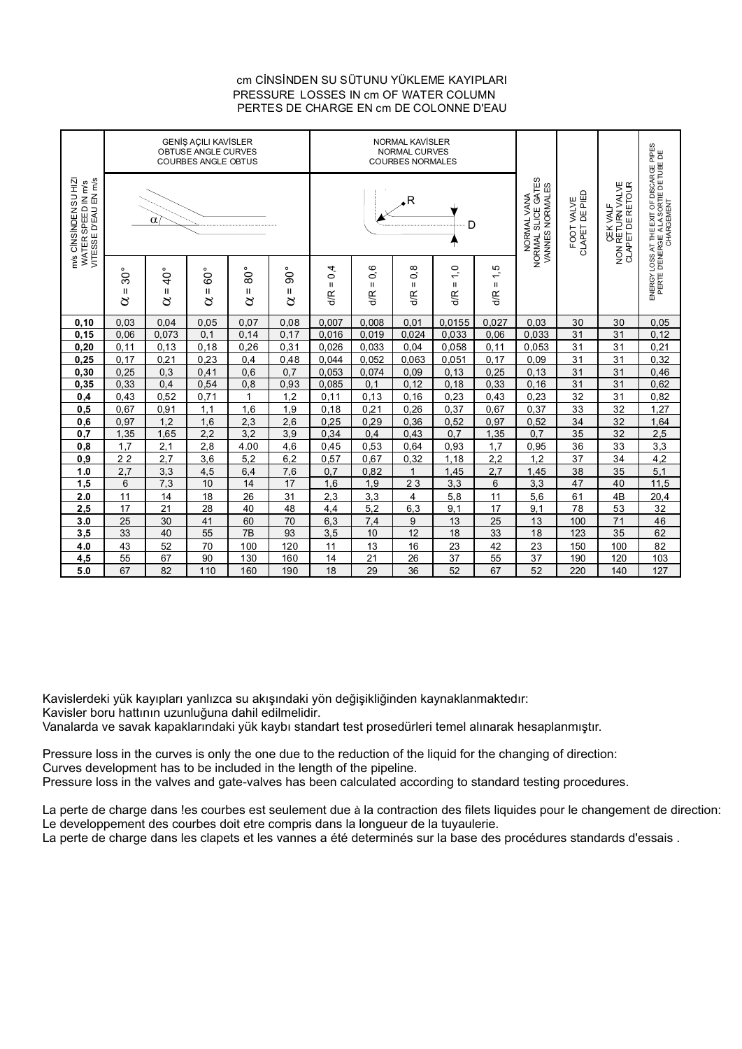#### cm CİNSİNDEN SU SÜTUNU YÜKLEME KAYIPLARI PERTES DE CHARGE EN cm DE COLONNE D'EAU PRESSURE LOSSES IN cm OF WATER COLUMN

|                                                                    |                                   |                        | <b>GENİŞ AÇILI KAVİSLER</b><br>OBTUSE ANGLE CURVES<br><b>COURBES ANGLE OBTUS</b> |                            |               |                                     |                           | <b>NORMAL KAVISLER</b><br>NORMAL CURVES<br><b>COURBES NORMALES</b> |                                      |                                                      |                              |                                                 |                                                                                                   |       |
|--------------------------------------------------------------------|-----------------------------------|------------------------|----------------------------------------------------------------------------------|----------------------------|---------------|-------------------------------------|---------------------------|--------------------------------------------------------------------|--------------------------------------|------------------------------------------------------|------------------------------|-------------------------------------------------|---------------------------------------------------------------------------------------------------|-------|
| WATER SPEED IN m/s<br>VITESSE D'EAU EN m/s<br>m/s CINSINDEN SU HIZ |                                   | α                      |                                                                                  |                            |               |                                     |                           | $\overline{\phantom{a}}$                                           | D                                    | NORMAL SLICE GATES<br>VANNES NORMALES<br>NORMAL VANA | CLAPET DE PIED<br>FOOT VALVE | ÇEK VALF<br>NON RETURN VALVE<br>CLAPETDE RETOUR | ENERGY LOSS AT THE EXIT OF DISCARGE PIPES<br>PERTE D'ENERGIE A LA SORTIE DE TUBE DE<br>CHARGEMENT |       |
|                                                                    | $30^{\circ}$<br>$\mathbf{I}$<br>8 | $40^{\circ}$<br>Ш<br>8 | $60^\circ$<br>Ш<br>8                                                             | $\rm 80^{\circ}$<br>Ш<br>8 | ခ်င<br>Ш<br>8 | 4<br>$\circ$<br>$\mathbf{H}$<br>d/R | 0,6<br>$\mathbf{H}$<br>ďR | 0,8<br>$\mathbf{I}$<br>d/R                                         | $\frac{1}{2}$<br>$\mathbf{I}$<br>d/R | 1,5<br>$\mathsf{II}%$<br>d/R                         |                              |                                                 |                                                                                                   |       |
| 0, 10                                                              | 0,03                              | 0,04                   | 0,05                                                                             | 0.07                       | 0,08          | 0,007                               | 0,008                     | 0.01                                                               | 0,0155                               | 0.027                                                | 0.03                         | 30                                              | 30                                                                                                | 0,05  |
| 0, 15                                                              | 0,06                              | 0,073                  | 0.1                                                                              | 0,14                       | 0.17          | 0,016                               | 0,019                     | 0,024                                                              | 0,033                                | 0,06                                                 | 0,033                        | 31                                              | 31                                                                                                | 0, 12 |
| 0,20                                                               | 0, 11                             | 0,13                   | 0,18                                                                             | 0,26                       | 0,31          | 0,026                               | 0,033                     | 0,04                                                               | 0,058                                | 0,11                                                 | 0,053                        | 31                                              | 31                                                                                                | 0,21  |
| 0,25                                                               | 0,17                              | 0,21                   | 0,23                                                                             | 0,4                        | 0,48          | 0,044                               | 0,052                     | 0,063                                                              | 0,051                                | 0,17                                                 | 0,09                         | 31                                              | 31                                                                                                | 0,32  |
| 0, 30                                                              | 0,25                              | 0,3                    | 0,41                                                                             | 0,6                        | 0.7           | 0,053                               | 0,074                     | 0,09                                                               | 0, 13                                | 0,25                                                 | 0, 13                        | 31                                              | 31                                                                                                | 0,46  |
| 0,35                                                               | 0,33                              | 0,4                    | 0,54                                                                             | 0,8                        | 0,93          | 0,085                               | 0,1                       | 0, 12                                                              | 0, 18                                | 0,33                                                 | 0, 16                        | 31                                              | 31                                                                                                | 0,62  |
| 0,4                                                                | 0,43                              | 0,52                   | 0,71                                                                             | 1                          | 1,2           | 0.11                                | 0,13                      | 0, 16                                                              | 0,23                                 | 0,43                                                 | 0,23                         | 32                                              | 31                                                                                                | 0,82  |
| 0,5                                                                | 0,67                              | 0,91                   | 1,1                                                                              | 1,6                        | 1,9           | 0,18                                | 0,21                      | 0,26                                                               | 0,37                                 | 0,67                                                 | 0,37                         | 33                                              | 32                                                                                                | 1,27  |
| 0,6                                                                | 0.97                              | 1.2                    | 1,6                                                                              | 2,3                        | 2,6           | 0,25                                | 0,29                      | 0,36                                                               | 0,52                                 | 0.97                                                 | 0,52                         | 34                                              | 32                                                                                                | 1,64  |
| 0,7                                                                | 1,35                              | 1,65                   | 2.2                                                                              | 3,2                        | 3.9           | 0.34                                | 0.4                       | 0,43                                                               | 0.7                                  | 1,35                                                 | 0.7                          | 35                                              | 32                                                                                                | 2.5   |
| 0,8                                                                | 1.7                               | 2,1                    | 2,8                                                                              | 4.00                       | 4.6           | 0,45                                | 0,53                      | 0.64                                                               | 0,93                                 | 1.7                                                  | 0,95                         | 36                                              | 33                                                                                                | 3,3   |
| 0,9                                                                | $\overline{2}$                    | $2,\overline{7}$       | $\overline{3,6}$                                                                 | 5.2                        | 6,2           | 0,57                                | 0,67                      | 0,32                                                               | 1,18                                 | 2,2                                                  | 1.2                          | 37                                              | 34                                                                                                | 4.2   |
| 1.0                                                                | 2,7                               | 3,3                    | 4,5                                                                              | 6,4                        | 7,6           | 0,7                                 | 0,82                      | $\mathbf{1}$                                                       | 1,45                                 | 2,7                                                  | 1,45                         | 38                                              | 35                                                                                                | 5,1   |
| 1,5                                                                | 6                                 | 7.3                    | 10                                                                               | 14                         | 17            | 1.6                                 | 1.9                       | 23                                                                 | 3.3                                  | 6                                                    | 3.3                          | 47                                              | 40                                                                                                | 11.5  |
| 2.0                                                                | 11                                | 14                     | 18                                                                               | 26                         | 31            | 2,3                                 | 3,3                       | 4                                                                  | 5,8                                  | 11                                                   | 5,6                          | 61                                              | 4B                                                                                                | 20,4  |
| 2,5                                                                | 17                                | 21                     | 28                                                                               | 40                         | 48            | 4,4                                 | 5,2                       | 6,3                                                                | 9,1                                  | 17                                                   | 9,1                          | 78                                              | 53                                                                                                | 32    |
| 3.0                                                                | 25                                | 30                     | 41                                                                               | 60                         | 70            | 6,3                                 | 7,4                       | 9                                                                  | 13                                   | 25                                                   | 13                           | 100                                             | 71                                                                                                | 46    |
| 3,5                                                                | 33                                | 40                     | 55                                                                               | 7B                         | 93            | 3.5                                 | 10                        | 12                                                                 | 18                                   | 33                                                   | 18                           | 123                                             | 35                                                                                                | 62    |
| 4.0                                                                | 43                                | 52                     | 70                                                                               | 100                        | 120           | 11                                  | 13                        | 16                                                                 | 23                                   | 42                                                   | 23                           | 150                                             | 100                                                                                               | 82    |
| 4,5                                                                | 55                                | 67                     | 90                                                                               | 130                        | 160           | 14                                  | 21                        | 26                                                                 | 37                                   | 55                                                   | 37                           | 190                                             | 120                                                                                               | 103   |
| 5.0                                                                | 67                                | 82                     | 110                                                                              | 160                        | 190           | 18                                  | 29                        | 36                                                                 | 52                                   | 67                                                   | 52                           | 220                                             | 140                                                                                               | 127   |

Kavislerdeki yük kayıpları yanlızca su akışındaki yön değişikliğinden kaynaklanmaktedır: Kavisler boru hattının uzunluğuna dahil edilmelidir.

Vanalarda ve savak kapaklarındaki yük kaybı standart test prosedürleri temel alınarak hesaplanmıştır.

Pressure loss in the curves is only the one due to the reduction of the liquid for the changing of direction: Curves development has to be included in the length of the pipeline.

Pressure loss in the valves and gate-valves has been calculated according to standard testing procedures.

La perte de charge dans les courbes est seulement due à la contraction des filets liquides pour le changement de direction: Le developpement des courbes doit etre compris dans la longueur de la tuyaulerie.

La perte de charge dans les clapets et les vannes a été determinés sur la base des procédures standards d'essais .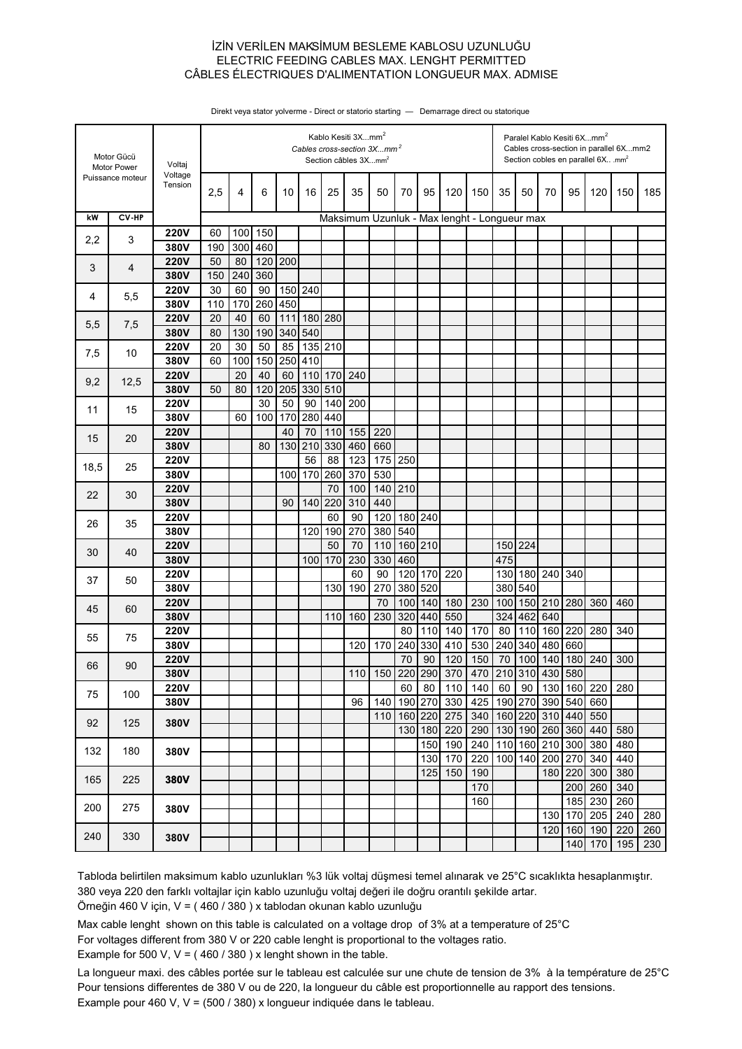### İZİN VERİLEN MAKSİMUM BESLEME KABLOSU UZUNLUĞU CÂBLES ÉLECTRIQUES D'ALIMENTATION LONGUEUR MAX. ADMISE ELECTRIC FEEDING CABLES MAX. LENGHT PERMITTED

| Puissance moteur<br>Tension<br>2,5<br>25<br>95<br>35<br>4<br>6<br>10<br>16<br>35<br>50<br>70<br>120<br>150<br>50<br>70<br>95<br>120<br>150<br>185<br>kW<br>CV-HP<br>Maksimum Uzunluk - Max lenght - Longueur max<br>150<br><b>220V</b><br>100<br>60<br>2,2<br>3<br>300 460<br>380V<br>190<br>200<br><b>220V</b><br>120<br>50<br>80<br>4<br>3<br>240<br>360<br>380V<br>150<br><b>220V</b><br>150<br>240<br>30<br>60<br>90<br>5,5<br>4<br>260<br>450<br>380V<br>110<br>170<br><b>220V</b><br>40<br>111<br>180<br>280<br>20<br>60<br>5,5<br>7,5<br>340<br>540<br>380V<br>80<br>130<br>190<br><b>220V</b><br>20<br>30<br>50<br>85<br>135 210<br>7,5<br>10<br>380V<br>100<br>150<br>250<br>410<br>60<br>20<br>40<br>240<br><b>220V</b><br>60<br>110<br>170<br>9,2<br>12,5<br>205<br>330<br>510<br>380V<br>120<br>50<br>80<br><b>220V</b><br>30<br>90<br>200<br>50<br>140<br>15<br>11<br>380V<br>170<br>280<br>440<br>60<br>100<br>40<br>70<br>155<br>220<br><b>220V</b><br>110<br>15<br>20<br>210<br>330<br>380V<br>80<br>130<br>460<br>660<br>175 250<br><b>220V</b><br>56<br>88<br>123<br>18,5<br>25<br>170<br>260<br>370<br>530<br>380V<br>100<br>70<br>100<br>140<br>210<br><b>220V</b><br>22<br>30<br>380V<br>220<br>310<br>440<br>90<br>140<br><b>220V</b><br>120<br>180 240<br>60<br>90<br>26<br>35<br>270<br>540<br>380V<br>190<br>380<br>120<br>50<br>160 210<br>150 224<br><b>220V</b><br>70<br>110<br>30<br>40<br>230<br>330<br>460<br>380V<br>100<br>170<br>475<br>120<br>170<br>220<br>240<br>340<br><b>220V</b><br>60<br>90<br>130 180<br>37<br>50<br>380V<br>270<br>380<br>520<br>380<br>540<br>130<br>190<br>180<br>230<br>210<br>280<br><b>220V</b><br>70<br>140<br>100<br>150<br>360<br>100<br>460<br>45<br>60<br>380V<br>230<br>320<br>440<br>550<br>324<br>462<br>640<br>160<br>110<br>170<br>160<br>220<br><b>220V</b><br>80<br>110<br>140<br>80<br>110<br>280<br>340<br>55<br>75<br>240<br>530<br>340<br>170<br>330<br>410<br>240<br>480<br>660<br>380V<br>120<br>90<br>120<br>150<br>70<br>100<br>180<br>240<br><b>220V</b><br>70<br>140<br>300<br>66<br>90<br>110 150 220 290 370<br>470 210 310 430 580<br>380V<br>220<br><b>220V</b><br>60<br>80<br>140<br>60<br>90<br>130<br>160<br>280<br>110<br>75<br>100<br>190 270<br>425<br>190 270<br>540<br>380V<br>96<br>140<br>330<br>390<br>660<br>220<br>275<br>160 220<br>310<br>440<br>110<br>160<br>340<br>550<br>92<br>125<br>380V<br>180<br>220<br>290<br>130<br>190<br>260<br>360<br>440<br>130<br>580<br>300<br>380<br>150<br>190<br>240<br>110<br>160<br>210<br>480<br>132<br>180<br>380V<br>440<br>170<br>220<br>100<br>140<br>200<br>270<br>340<br>130<br>180<br>220<br>300<br>380<br>125<br>150<br>190<br>225<br>165<br>380V<br>170<br>260<br>340<br>200<br>185<br>230<br>260<br>160<br>200<br>275<br>380V<br>170<br>205<br>240<br>280<br>130<br>120<br>160<br>190<br>220<br>260<br>330<br>240<br>380V | Motor Gücü<br>Motor Power |  | Voltaj  | Kablo Kesiti 3Xmm <sup>2</sup><br>Cables cross-section 3Xmm <sup>2</sup><br>Section câbles 3Xmm2 |  |  |  |  |  |  |  |  |  |  | Paralel Kablo Kesiti 6Xmm <sup>2</sup><br>Cables cross-section in parallel 6Xmm2<br>Section cobles en parallel 6Xmm <sup>2</sup> |  |  |     |     |     |     |
|------------------------------------------------------------------------------------------------------------------------------------------------------------------------------------------------------------------------------------------------------------------------------------------------------------------------------------------------------------------------------------------------------------------------------------------------------------------------------------------------------------------------------------------------------------------------------------------------------------------------------------------------------------------------------------------------------------------------------------------------------------------------------------------------------------------------------------------------------------------------------------------------------------------------------------------------------------------------------------------------------------------------------------------------------------------------------------------------------------------------------------------------------------------------------------------------------------------------------------------------------------------------------------------------------------------------------------------------------------------------------------------------------------------------------------------------------------------------------------------------------------------------------------------------------------------------------------------------------------------------------------------------------------------------------------------------------------------------------------------------------------------------------------------------------------------------------------------------------------------------------------------------------------------------------------------------------------------------------------------------------------------------------------------------------------------------------------------------------------------------------------------------------------------------------------------------------------------------------------------------------------------------------------------------------------------------------------------------------------------------------------------------------------------------------------------------------------------------------------------------------------------------------------------------------------------------------------------------------------------------------------------------------------------------------------------------------------------------------------------------------------------------------------------------------------------------------------------------------------------------------------|---------------------------|--|---------|--------------------------------------------------------------------------------------------------|--|--|--|--|--|--|--|--|--|--|----------------------------------------------------------------------------------------------------------------------------------|--|--|-----|-----|-----|-----|
|                                                                                                                                                                                                                                                                                                                                                                                                                                                                                                                                                                                                                                                                                                                                                                                                                                                                                                                                                                                                                                                                                                                                                                                                                                                                                                                                                                                                                                                                                                                                                                                                                                                                                                                                                                                                                                                                                                                                                                                                                                                                                                                                                                                                                                                                                                                                                                                                                                                                                                                                                                                                                                                                                                                                                                                                                                                                                    |                           |  | Voltage |                                                                                                  |  |  |  |  |  |  |  |  |  |  |                                                                                                                                  |  |  |     |     |     |     |
|                                                                                                                                                                                                                                                                                                                                                                                                                                                                                                                                                                                                                                                                                                                                                                                                                                                                                                                                                                                                                                                                                                                                                                                                                                                                                                                                                                                                                                                                                                                                                                                                                                                                                                                                                                                                                                                                                                                                                                                                                                                                                                                                                                                                                                                                                                                                                                                                                                                                                                                                                                                                                                                                                                                                                                                                                                                                                    |                           |  |         |                                                                                                  |  |  |  |  |  |  |  |  |  |  |                                                                                                                                  |  |  |     |     |     |     |
|                                                                                                                                                                                                                                                                                                                                                                                                                                                                                                                                                                                                                                                                                                                                                                                                                                                                                                                                                                                                                                                                                                                                                                                                                                                                                                                                                                                                                                                                                                                                                                                                                                                                                                                                                                                                                                                                                                                                                                                                                                                                                                                                                                                                                                                                                                                                                                                                                                                                                                                                                                                                                                                                                                                                                                                                                                                                                    |                           |  |         |                                                                                                  |  |  |  |  |  |  |  |  |  |  |                                                                                                                                  |  |  |     |     |     |     |
|                                                                                                                                                                                                                                                                                                                                                                                                                                                                                                                                                                                                                                                                                                                                                                                                                                                                                                                                                                                                                                                                                                                                                                                                                                                                                                                                                                                                                                                                                                                                                                                                                                                                                                                                                                                                                                                                                                                                                                                                                                                                                                                                                                                                                                                                                                                                                                                                                                                                                                                                                                                                                                                                                                                                                                                                                                                                                    |                           |  |         |                                                                                                  |  |  |  |  |  |  |  |  |  |  |                                                                                                                                  |  |  |     |     |     |     |
|                                                                                                                                                                                                                                                                                                                                                                                                                                                                                                                                                                                                                                                                                                                                                                                                                                                                                                                                                                                                                                                                                                                                                                                                                                                                                                                                                                                                                                                                                                                                                                                                                                                                                                                                                                                                                                                                                                                                                                                                                                                                                                                                                                                                                                                                                                                                                                                                                                                                                                                                                                                                                                                                                                                                                                                                                                                                                    |                           |  |         |                                                                                                  |  |  |  |  |  |  |  |  |  |  |                                                                                                                                  |  |  |     |     |     |     |
|                                                                                                                                                                                                                                                                                                                                                                                                                                                                                                                                                                                                                                                                                                                                                                                                                                                                                                                                                                                                                                                                                                                                                                                                                                                                                                                                                                                                                                                                                                                                                                                                                                                                                                                                                                                                                                                                                                                                                                                                                                                                                                                                                                                                                                                                                                                                                                                                                                                                                                                                                                                                                                                                                                                                                                                                                                                                                    |                           |  |         |                                                                                                  |  |  |  |  |  |  |  |  |  |  |                                                                                                                                  |  |  |     |     |     |     |
|                                                                                                                                                                                                                                                                                                                                                                                                                                                                                                                                                                                                                                                                                                                                                                                                                                                                                                                                                                                                                                                                                                                                                                                                                                                                                                                                                                                                                                                                                                                                                                                                                                                                                                                                                                                                                                                                                                                                                                                                                                                                                                                                                                                                                                                                                                                                                                                                                                                                                                                                                                                                                                                                                                                                                                                                                                                                                    |                           |  |         |                                                                                                  |  |  |  |  |  |  |  |  |  |  |                                                                                                                                  |  |  |     |     |     |     |
|                                                                                                                                                                                                                                                                                                                                                                                                                                                                                                                                                                                                                                                                                                                                                                                                                                                                                                                                                                                                                                                                                                                                                                                                                                                                                                                                                                                                                                                                                                                                                                                                                                                                                                                                                                                                                                                                                                                                                                                                                                                                                                                                                                                                                                                                                                                                                                                                                                                                                                                                                                                                                                                                                                                                                                                                                                                                                    |                           |  |         |                                                                                                  |  |  |  |  |  |  |  |  |  |  |                                                                                                                                  |  |  |     |     |     |     |
|                                                                                                                                                                                                                                                                                                                                                                                                                                                                                                                                                                                                                                                                                                                                                                                                                                                                                                                                                                                                                                                                                                                                                                                                                                                                                                                                                                                                                                                                                                                                                                                                                                                                                                                                                                                                                                                                                                                                                                                                                                                                                                                                                                                                                                                                                                                                                                                                                                                                                                                                                                                                                                                                                                                                                                                                                                                                                    |                           |  |         |                                                                                                  |  |  |  |  |  |  |  |  |  |  |                                                                                                                                  |  |  |     |     |     |     |
|                                                                                                                                                                                                                                                                                                                                                                                                                                                                                                                                                                                                                                                                                                                                                                                                                                                                                                                                                                                                                                                                                                                                                                                                                                                                                                                                                                                                                                                                                                                                                                                                                                                                                                                                                                                                                                                                                                                                                                                                                                                                                                                                                                                                                                                                                                                                                                                                                                                                                                                                                                                                                                                                                                                                                                                                                                                                                    |                           |  |         |                                                                                                  |  |  |  |  |  |  |  |  |  |  |                                                                                                                                  |  |  |     |     |     |     |
|                                                                                                                                                                                                                                                                                                                                                                                                                                                                                                                                                                                                                                                                                                                                                                                                                                                                                                                                                                                                                                                                                                                                                                                                                                                                                                                                                                                                                                                                                                                                                                                                                                                                                                                                                                                                                                                                                                                                                                                                                                                                                                                                                                                                                                                                                                                                                                                                                                                                                                                                                                                                                                                                                                                                                                                                                                                                                    |                           |  |         |                                                                                                  |  |  |  |  |  |  |  |  |  |  |                                                                                                                                  |  |  |     |     |     |     |
|                                                                                                                                                                                                                                                                                                                                                                                                                                                                                                                                                                                                                                                                                                                                                                                                                                                                                                                                                                                                                                                                                                                                                                                                                                                                                                                                                                                                                                                                                                                                                                                                                                                                                                                                                                                                                                                                                                                                                                                                                                                                                                                                                                                                                                                                                                                                                                                                                                                                                                                                                                                                                                                                                                                                                                                                                                                                                    |                           |  |         |                                                                                                  |  |  |  |  |  |  |  |  |  |  |                                                                                                                                  |  |  |     |     |     |     |
|                                                                                                                                                                                                                                                                                                                                                                                                                                                                                                                                                                                                                                                                                                                                                                                                                                                                                                                                                                                                                                                                                                                                                                                                                                                                                                                                                                                                                                                                                                                                                                                                                                                                                                                                                                                                                                                                                                                                                                                                                                                                                                                                                                                                                                                                                                                                                                                                                                                                                                                                                                                                                                                                                                                                                                                                                                                                                    |                           |  |         |                                                                                                  |  |  |  |  |  |  |  |  |  |  |                                                                                                                                  |  |  |     |     |     |     |
|                                                                                                                                                                                                                                                                                                                                                                                                                                                                                                                                                                                                                                                                                                                                                                                                                                                                                                                                                                                                                                                                                                                                                                                                                                                                                                                                                                                                                                                                                                                                                                                                                                                                                                                                                                                                                                                                                                                                                                                                                                                                                                                                                                                                                                                                                                                                                                                                                                                                                                                                                                                                                                                                                                                                                                                                                                                                                    |                           |  |         |                                                                                                  |  |  |  |  |  |  |  |  |  |  |                                                                                                                                  |  |  |     |     |     |     |
|                                                                                                                                                                                                                                                                                                                                                                                                                                                                                                                                                                                                                                                                                                                                                                                                                                                                                                                                                                                                                                                                                                                                                                                                                                                                                                                                                                                                                                                                                                                                                                                                                                                                                                                                                                                                                                                                                                                                                                                                                                                                                                                                                                                                                                                                                                                                                                                                                                                                                                                                                                                                                                                                                                                                                                                                                                                                                    |                           |  |         |                                                                                                  |  |  |  |  |  |  |  |  |  |  |                                                                                                                                  |  |  |     |     |     |     |
|                                                                                                                                                                                                                                                                                                                                                                                                                                                                                                                                                                                                                                                                                                                                                                                                                                                                                                                                                                                                                                                                                                                                                                                                                                                                                                                                                                                                                                                                                                                                                                                                                                                                                                                                                                                                                                                                                                                                                                                                                                                                                                                                                                                                                                                                                                                                                                                                                                                                                                                                                                                                                                                                                                                                                                                                                                                                                    |                           |  |         |                                                                                                  |  |  |  |  |  |  |  |  |  |  |                                                                                                                                  |  |  |     |     |     |     |
|                                                                                                                                                                                                                                                                                                                                                                                                                                                                                                                                                                                                                                                                                                                                                                                                                                                                                                                                                                                                                                                                                                                                                                                                                                                                                                                                                                                                                                                                                                                                                                                                                                                                                                                                                                                                                                                                                                                                                                                                                                                                                                                                                                                                                                                                                                                                                                                                                                                                                                                                                                                                                                                                                                                                                                                                                                                                                    |                           |  |         |                                                                                                  |  |  |  |  |  |  |  |  |  |  |                                                                                                                                  |  |  |     |     |     |     |
|                                                                                                                                                                                                                                                                                                                                                                                                                                                                                                                                                                                                                                                                                                                                                                                                                                                                                                                                                                                                                                                                                                                                                                                                                                                                                                                                                                                                                                                                                                                                                                                                                                                                                                                                                                                                                                                                                                                                                                                                                                                                                                                                                                                                                                                                                                                                                                                                                                                                                                                                                                                                                                                                                                                                                                                                                                                                                    |                           |  |         |                                                                                                  |  |  |  |  |  |  |  |  |  |  |                                                                                                                                  |  |  |     |     |     |     |
|                                                                                                                                                                                                                                                                                                                                                                                                                                                                                                                                                                                                                                                                                                                                                                                                                                                                                                                                                                                                                                                                                                                                                                                                                                                                                                                                                                                                                                                                                                                                                                                                                                                                                                                                                                                                                                                                                                                                                                                                                                                                                                                                                                                                                                                                                                                                                                                                                                                                                                                                                                                                                                                                                                                                                                                                                                                                                    |                           |  |         |                                                                                                  |  |  |  |  |  |  |  |  |  |  |                                                                                                                                  |  |  |     |     |     |     |
|                                                                                                                                                                                                                                                                                                                                                                                                                                                                                                                                                                                                                                                                                                                                                                                                                                                                                                                                                                                                                                                                                                                                                                                                                                                                                                                                                                                                                                                                                                                                                                                                                                                                                                                                                                                                                                                                                                                                                                                                                                                                                                                                                                                                                                                                                                                                                                                                                                                                                                                                                                                                                                                                                                                                                                                                                                                                                    |                           |  |         |                                                                                                  |  |  |  |  |  |  |  |  |  |  |                                                                                                                                  |  |  |     |     |     |     |
|                                                                                                                                                                                                                                                                                                                                                                                                                                                                                                                                                                                                                                                                                                                                                                                                                                                                                                                                                                                                                                                                                                                                                                                                                                                                                                                                                                                                                                                                                                                                                                                                                                                                                                                                                                                                                                                                                                                                                                                                                                                                                                                                                                                                                                                                                                                                                                                                                                                                                                                                                                                                                                                                                                                                                                                                                                                                                    |                           |  |         |                                                                                                  |  |  |  |  |  |  |  |  |  |  |                                                                                                                                  |  |  |     |     |     |     |
|                                                                                                                                                                                                                                                                                                                                                                                                                                                                                                                                                                                                                                                                                                                                                                                                                                                                                                                                                                                                                                                                                                                                                                                                                                                                                                                                                                                                                                                                                                                                                                                                                                                                                                                                                                                                                                                                                                                                                                                                                                                                                                                                                                                                                                                                                                                                                                                                                                                                                                                                                                                                                                                                                                                                                                                                                                                                                    |                           |  |         |                                                                                                  |  |  |  |  |  |  |  |  |  |  |                                                                                                                                  |  |  |     |     |     |     |
|                                                                                                                                                                                                                                                                                                                                                                                                                                                                                                                                                                                                                                                                                                                                                                                                                                                                                                                                                                                                                                                                                                                                                                                                                                                                                                                                                                                                                                                                                                                                                                                                                                                                                                                                                                                                                                                                                                                                                                                                                                                                                                                                                                                                                                                                                                                                                                                                                                                                                                                                                                                                                                                                                                                                                                                                                                                                                    |                           |  |         |                                                                                                  |  |  |  |  |  |  |  |  |  |  |                                                                                                                                  |  |  |     |     |     |     |
|                                                                                                                                                                                                                                                                                                                                                                                                                                                                                                                                                                                                                                                                                                                                                                                                                                                                                                                                                                                                                                                                                                                                                                                                                                                                                                                                                                                                                                                                                                                                                                                                                                                                                                                                                                                                                                                                                                                                                                                                                                                                                                                                                                                                                                                                                                                                                                                                                                                                                                                                                                                                                                                                                                                                                                                                                                                                                    |                           |  |         |                                                                                                  |  |  |  |  |  |  |  |  |  |  |                                                                                                                                  |  |  |     |     |     |     |
|                                                                                                                                                                                                                                                                                                                                                                                                                                                                                                                                                                                                                                                                                                                                                                                                                                                                                                                                                                                                                                                                                                                                                                                                                                                                                                                                                                                                                                                                                                                                                                                                                                                                                                                                                                                                                                                                                                                                                                                                                                                                                                                                                                                                                                                                                                                                                                                                                                                                                                                                                                                                                                                                                                                                                                                                                                                                                    |                           |  |         |                                                                                                  |  |  |  |  |  |  |  |  |  |  |                                                                                                                                  |  |  |     |     |     |     |
|                                                                                                                                                                                                                                                                                                                                                                                                                                                                                                                                                                                                                                                                                                                                                                                                                                                                                                                                                                                                                                                                                                                                                                                                                                                                                                                                                                                                                                                                                                                                                                                                                                                                                                                                                                                                                                                                                                                                                                                                                                                                                                                                                                                                                                                                                                                                                                                                                                                                                                                                                                                                                                                                                                                                                                                                                                                                                    |                           |  |         |                                                                                                  |  |  |  |  |  |  |  |  |  |  |                                                                                                                                  |  |  |     |     |     |     |
|                                                                                                                                                                                                                                                                                                                                                                                                                                                                                                                                                                                                                                                                                                                                                                                                                                                                                                                                                                                                                                                                                                                                                                                                                                                                                                                                                                                                                                                                                                                                                                                                                                                                                                                                                                                                                                                                                                                                                                                                                                                                                                                                                                                                                                                                                                                                                                                                                                                                                                                                                                                                                                                                                                                                                                                                                                                                                    |                           |  |         |                                                                                                  |  |  |  |  |  |  |  |  |  |  |                                                                                                                                  |  |  |     |     |     |     |
|                                                                                                                                                                                                                                                                                                                                                                                                                                                                                                                                                                                                                                                                                                                                                                                                                                                                                                                                                                                                                                                                                                                                                                                                                                                                                                                                                                                                                                                                                                                                                                                                                                                                                                                                                                                                                                                                                                                                                                                                                                                                                                                                                                                                                                                                                                                                                                                                                                                                                                                                                                                                                                                                                                                                                                                                                                                                                    |                           |  |         |                                                                                                  |  |  |  |  |  |  |  |  |  |  |                                                                                                                                  |  |  |     |     |     |     |
|                                                                                                                                                                                                                                                                                                                                                                                                                                                                                                                                                                                                                                                                                                                                                                                                                                                                                                                                                                                                                                                                                                                                                                                                                                                                                                                                                                                                                                                                                                                                                                                                                                                                                                                                                                                                                                                                                                                                                                                                                                                                                                                                                                                                                                                                                                                                                                                                                                                                                                                                                                                                                                                                                                                                                                                                                                                                                    |                           |  |         |                                                                                                  |  |  |  |  |  |  |  |  |  |  |                                                                                                                                  |  |  |     |     |     |     |
|                                                                                                                                                                                                                                                                                                                                                                                                                                                                                                                                                                                                                                                                                                                                                                                                                                                                                                                                                                                                                                                                                                                                                                                                                                                                                                                                                                                                                                                                                                                                                                                                                                                                                                                                                                                                                                                                                                                                                                                                                                                                                                                                                                                                                                                                                                                                                                                                                                                                                                                                                                                                                                                                                                                                                                                                                                                                                    |                           |  |         |                                                                                                  |  |  |  |  |  |  |  |  |  |  |                                                                                                                                  |  |  |     |     |     |     |
|                                                                                                                                                                                                                                                                                                                                                                                                                                                                                                                                                                                                                                                                                                                                                                                                                                                                                                                                                                                                                                                                                                                                                                                                                                                                                                                                                                                                                                                                                                                                                                                                                                                                                                                                                                                                                                                                                                                                                                                                                                                                                                                                                                                                                                                                                                                                                                                                                                                                                                                                                                                                                                                                                                                                                                                                                                                                                    |                           |  |         |                                                                                                  |  |  |  |  |  |  |  |  |  |  |                                                                                                                                  |  |  |     |     |     |     |
|                                                                                                                                                                                                                                                                                                                                                                                                                                                                                                                                                                                                                                                                                                                                                                                                                                                                                                                                                                                                                                                                                                                                                                                                                                                                                                                                                                                                                                                                                                                                                                                                                                                                                                                                                                                                                                                                                                                                                                                                                                                                                                                                                                                                                                                                                                                                                                                                                                                                                                                                                                                                                                                                                                                                                                                                                                                                                    |                           |  |         |                                                                                                  |  |  |  |  |  |  |  |  |  |  |                                                                                                                                  |  |  |     |     |     |     |
|                                                                                                                                                                                                                                                                                                                                                                                                                                                                                                                                                                                                                                                                                                                                                                                                                                                                                                                                                                                                                                                                                                                                                                                                                                                                                                                                                                                                                                                                                                                                                                                                                                                                                                                                                                                                                                                                                                                                                                                                                                                                                                                                                                                                                                                                                                                                                                                                                                                                                                                                                                                                                                                                                                                                                                                                                                                                                    |                           |  |         |                                                                                                  |  |  |  |  |  |  |  |  |  |  |                                                                                                                                  |  |  |     |     |     |     |
|                                                                                                                                                                                                                                                                                                                                                                                                                                                                                                                                                                                                                                                                                                                                                                                                                                                                                                                                                                                                                                                                                                                                                                                                                                                                                                                                                                                                                                                                                                                                                                                                                                                                                                                                                                                                                                                                                                                                                                                                                                                                                                                                                                                                                                                                                                                                                                                                                                                                                                                                                                                                                                                                                                                                                                                                                                                                                    |                           |  |         |                                                                                                  |  |  |  |  |  |  |  |  |  |  |                                                                                                                                  |  |  |     |     |     |     |
|                                                                                                                                                                                                                                                                                                                                                                                                                                                                                                                                                                                                                                                                                                                                                                                                                                                                                                                                                                                                                                                                                                                                                                                                                                                                                                                                                                                                                                                                                                                                                                                                                                                                                                                                                                                                                                                                                                                                                                                                                                                                                                                                                                                                                                                                                                                                                                                                                                                                                                                                                                                                                                                                                                                                                                                                                                                                                    |                           |  |         |                                                                                                  |  |  |  |  |  |  |  |  |  |  |                                                                                                                                  |  |  |     |     |     |     |
|                                                                                                                                                                                                                                                                                                                                                                                                                                                                                                                                                                                                                                                                                                                                                                                                                                                                                                                                                                                                                                                                                                                                                                                                                                                                                                                                                                                                                                                                                                                                                                                                                                                                                                                                                                                                                                                                                                                                                                                                                                                                                                                                                                                                                                                                                                                                                                                                                                                                                                                                                                                                                                                                                                                                                                                                                                                                                    |                           |  |         |                                                                                                  |  |  |  |  |  |  |  |  |  |  |                                                                                                                                  |  |  |     |     |     |     |
|                                                                                                                                                                                                                                                                                                                                                                                                                                                                                                                                                                                                                                                                                                                                                                                                                                                                                                                                                                                                                                                                                                                                                                                                                                                                                                                                                                                                                                                                                                                                                                                                                                                                                                                                                                                                                                                                                                                                                                                                                                                                                                                                                                                                                                                                                                                                                                                                                                                                                                                                                                                                                                                                                                                                                                                                                                                                                    |                           |  |         |                                                                                                  |  |  |  |  |  |  |  |  |  |  |                                                                                                                                  |  |  |     |     |     |     |
|                                                                                                                                                                                                                                                                                                                                                                                                                                                                                                                                                                                                                                                                                                                                                                                                                                                                                                                                                                                                                                                                                                                                                                                                                                                                                                                                                                                                                                                                                                                                                                                                                                                                                                                                                                                                                                                                                                                                                                                                                                                                                                                                                                                                                                                                                                                                                                                                                                                                                                                                                                                                                                                                                                                                                                                                                                                                                    |                           |  |         |                                                                                                  |  |  |  |  |  |  |  |  |  |  |                                                                                                                                  |  |  |     |     |     |     |
|                                                                                                                                                                                                                                                                                                                                                                                                                                                                                                                                                                                                                                                                                                                                                                                                                                                                                                                                                                                                                                                                                                                                                                                                                                                                                                                                                                                                                                                                                                                                                                                                                                                                                                                                                                                                                                                                                                                                                                                                                                                                                                                                                                                                                                                                                                                                                                                                                                                                                                                                                                                                                                                                                                                                                                                                                                                                                    |                           |  |         |                                                                                                  |  |  |  |  |  |  |  |  |  |  |                                                                                                                                  |  |  |     |     |     |     |
|                                                                                                                                                                                                                                                                                                                                                                                                                                                                                                                                                                                                                                                                                                                                                                                                                                                                                                                                                                                                                                                                                                                                                                                                                                                                                                                                                                                                                                                                                                                                                                                                                                                                                                                                                                                                                                                                                                                                                                                                                                                                                                                                                                                                                                                                                                                                                                                                                                                                                                                                                                                                                                                                                                                                                                                                                                                                                    |                           |  |         |                                                                                                  |  |  |  |  |  |  |  |  |  |  |                                                                                                                                  |  |  |     |     |     |     |
|                                                                                                                                                                                                                                                                                                                                                                                                                                                                                                                                                                                                                                                                                                                                                                                                                                                                                                                                                                                                                                                                                                                                                                                                                                                                                                                                                                                                                                                                                                                                                                                                                                                                                                                                                                                                                                                                                                                                                                                                                                                                                                                                                                                                                                                                                                                                                                                                                                                                                                                                                                                                                                                                                                                                                                                                                                                                                    |                           |  |         |                                                                                                  |  |  |  |  |  |  |  |  |  |  |                                                                                                                                  |  |  |     |     |     |     |
|                                                                                                                                                                                                                                                                                                                                                                                                                                                                                                                                                                                                                                                                                                                                                                                                                                                                                                                                                                                                                                                                                                                                                                                                                                                                                                                                                                                                                                                                                                                                                                                                                                                                                                                                                                                                                                                                                                                                                                                                                                                                                                                                                                                                                                                                                                                                                                                                                                                                                                                                                                                                                                                                                                                                                                                                                                                                                    |                           |  |         |                                                                                                  |  |  |  |  |  |  |  |  |  |  |                                                                                                                                  |  |  |     |     |     |     |
|                                                                                                                                                                                                                                                                                                                                                                                                                                                                                                                                                                                                                                                                                                                                                                                                                                                                                                                                                                                                                                                                                                                                                                                                                                                                                                                                                                                                                                                                                                                                                                                                                                                                                                                                                                                                                                                                                                                                                                                                                                                                                                                                                                                                                                                                                                                                                                                                                                                                                                                                                                                                                                                                                                                                                                                                                                                                                    |                           |  |         |                                                                                                  |  |  |  |  |  |  |  |  |  |  |                                                                                                                                  |  |  |     |     |     |     |
|                                                                                                                                                                                                                                                                                                                                                                                                                                                                                                                                                                                                                                                                                                                                                                                                                                                                                                                                                                                                                                                                                                                                                                                                                                                                                                                                                                                                                                                                                                                                                                                                                                                                                                                                                                                                                                                                                                                                                                                                                                                                                                                                                                                                                                                                                                                                                                                                                                                                                                                                                                                                                                                                                                                                                                                                                                                                                    |                           |  |         |                                                                                                  |  |  |  |  |  |  |  |  |  |  |                                                                                                                                  |  |  | 140 | 170 | 195 | 230 |

Direkt veya stator yolverme - Direct or statorio starting — Demarrage direct ou statorique

Tabloda belirtilen maksimum kablo uzunlukları %3 lük voltaj düşmesi temel alınarak ve 25°C sıcaklıkta hesaplanmıştır. 380 veya 220 den farklı voltajlar için kablo uzunluğu voltaj değeri ile doğru orantılı şekilde artar.

Örneğin 460 V için, V = ( 460 / 380 ) x tablodan okunan kablo uzunluğu

Max cable lenght shown on this table is calculated on a voltage drop of 3% at a temperature of 25°C

For voltages different from 380 V or 220 cable lenght is proportional to the voltages ratio.

Example for 500 V,  $V = (460 / 380)$  x lenght shown in the table.

La longueur maxi. des câbles portée sur le tableau est calculée sur une chute de tension de 3% à la température de 25°C Pour tensions differentes de 380 V ou de 220, la longueur du câble est proportionnelle au rapport des tensions. Example pour 460 V, V = (500 / 380) x longueur indiquée dans le tableau.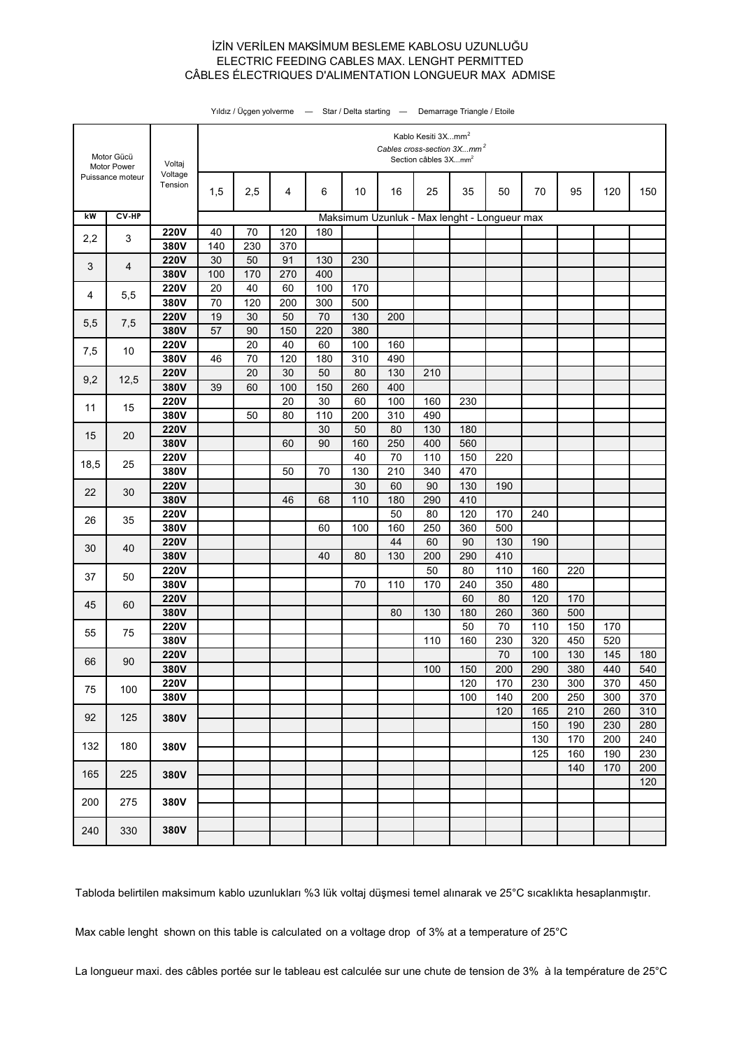### İZİN VERİLEN MAKSİMUM BESLEME KABLOSU UZUNLUĞU CÂBLES ÉLECTRIQUES D'ALIMENTATION LONGUEUR MAX ADMISE ELECTRIC FEEDING CABLES MAX. LENGHT PERMITTED

| Motor Gücü<br>Motor Power<br>Puissance moteur |                | Voltaj              | Kablo Kesiti 3Xmm <sup>2</sup><br>Cables cross-section 3Xmm <sup>2</sup><br>Section câbles 3Xmm <sup>2</sup> |          |           |           |            |            |                                              |           |            |     |     |     |     |  |
|-----------------------------------------------|----------------|---------------------|--------------------------------------------------------------------------------------------------------------|----------|-----------|-----------|------------|------------|----------------------------------------------|-----------|------------|-----|-----|-----|-----|--|
|                                               |                | Voltage<br>Tension  | 1,5                                                                                                          | 2,5      | 4         | 6         | 10         | 16         | 25                                           | 35        | 50         | 70  | 95  | 120 | 150 |  |
| kW                                            | $CV-HP$        |                     |                                                                                                              |          |           |           |            |            | Maksimum Uzunluk - Max lenght - Longueur max |           |            |     |     |     |     |  |
|                                               |                | <b>220V</b>         | 40                                                                                                           | 70       | 120       | 180       |            |            |                                              |           |            |     |     |     |     |  |
| 2,2                                           | $\mathsf 3$    | 380V                | 140                                                                                                          | 230      | 370       |           |            |            |                                              |           |            |     |     |     |     |  |
| 3                                             | $\overline{4}$ | <b>220V</b>         | 30                                                                                                           | 50       | 91        | 130       | 230        |            |                                              |           |            |     |     |     |     |  |
|                                               |                | 380V                | 100                                                                                                          | 170      | 270       | 400       |            |            |                                              |           |            |     |     |     |     |  |
| 4                                             | 5,5            | <b>220V</b>         | 20                                                                                                           | 40       | 60        | 100       | 170        |            |                                              |           |            |     |     |     |     |  |
|                                               |                | 380V                | 70                                                                                                           | 120      | 200       | 300       | 500        |            |                                              |           |            |     |     |     |     |  |
| 5,5                                           | 7,5            | <b>220V</b>         | 19                                                                                                           | 30       | 50        | 70        | 130        | 200        |                                              |           |            |     |     |     |     |  |
|                                               |                | 380V                | 57                                                                                                           | 90       | 150       | 220       | 380        |            |                                              |           |            |     |     |     |     |  |
| 7,5                                           | 10             | <b>220V</b><br>380V | 46                                                                                                           | 20<br>70 | 40<br>120 | 60<br>180 | 100<br>310 | 160<br>490 |                                              |           |            |     |     |     |     |  |
|                                               |                | <b>220V</b>         |                                                                                                              | 20       | 30        | 50        | 80         | 130        | 210                                          |           |            |     |     |     |     |  |
| 9,2                                           | 12,5           | 380V                | 39                                                                                                           | 60       | 100       | 150       | 260        | 400        |                                              |           |            |     |     |     |     |  |
|                                               |                | <b>220V</b>         |                                                                                                              |          | 20        | 30        | 60         | 100        | 160                                          | 230       |            |     |     |     |     |  |
| 11                                            | 15             | 380V                |                                                                                                              | 50       | 80        | 110       | 200        | 310        | 490                                          |           |            |     |     |     |     |  |
|                                               | 20             | <b>220V</b>         |                                                                                                              |          |           | 30        | 50         | 80         | 130                                          | 180       |            |     |     |     |     |  |
| 15                                            |                | 380V                |                                                                                                              |          | 60        | 90        | 160        | 250        | 400                                          | 560       |            |     |     |     |     |  |
| 18,5                                          | 25             | <b>220V</b>         |                                                                                                              |          |           |           | 40         | 70         | 110                                          | 150       | 220        |     |     |     |     |  |
|                                               |                | 380V                |                                                                                                              |          | 50        | 70        | 130        | 210        | 340                                          | 470       |            |     |     |     |     |  |
| 22                                            | 30<br>35       | <b>220V</b>         |                                                                                                              |          |           |           | 30         | 60         | 90                                           | 130       | 190        |     |     |     |     |  |
|                                               |                | 380V                |                                                                                                              |          | 46        | 68        | 110        | 180        | 290                                          | 410       |            |     |     |     |     |  |
| 26                                            |                | <b>220V</b>         |                                                                                                              |          |           |           |            | 50         | 80                                           | 120       | 170        | 240 |     |     |     |  |
|                                               | 40             | 380V                |                                                                                                              |          |           | 60        | 100        | 160        | 250                                          | 360       | 500        |     |     |     |     |  |
| 30                                            |                | <b>220V</b>         |                                                                                                              |          |           | 40        |            | 44         | 60                                           | 90        | 130        | 190 |     |     |     |  |
|                                               | 50             | 380V<br><b>220V</b> |                                                                                                              |          |           |           | 80         | 130        | 200<br>50                                    | 290<br>80 | 410<br>110 | 160 | 220 |     |     |  |
| 37                                            |                | 380V                |                                                                                                              |          |           |           | 70         | 110        | 170                                          | 240       | 350        | 480 |     |     |     |  |
|                                               |                | <b>220V</b>         |                                                                                                              |          |           |           |            |            |                                              | 60        | 80         | 120 | 170 |     |     |  |
| 45                                            | 60             | 380V                |                                                                                                              |          |           |           |            | 80         | 130                                          | 180       | 260        | 360 | 500 |     |     |  |
|                                               |                | <b>220V</b>         |                                                                                                              |          |           |           |            |            |                                              | 50        | 70         | 110 | 150 | 170 |     |  |
| 55                                            | 75             | 380V                |                                                                                                              |          |           |           |            |            | 110                                          | 160       | 230        | 320 | 450 | 520 |     |  |
|                                               |                | <b>220V</b>         |                                                                                                              |          |           |           |            |            |                                              |           | 70         | 100 | 130 | 145 | 180 |  |
| 66                                            | 90             | 380V                |                                                                                                              |          |           |           |            |            | 100                                          | 150       | 200        | 290 | 380 | 440 | 540 |  |
| 75                                            | 100            | <b>220V</b>         |                                                                                                              |          |           |           |            |            |                                              | 120       | 170        | 230 | 300 | 370 | 450 |  |
|                                               |                | 380V                |                                                                                                              |          |           |           |            |            |                                              | 100       | 140        | 200 | 250 | 300 | 370 |  |
| 92                                            | 125            | 380V                |                                                                                                              |          |           |           |            |            |                                              |           | 120        | 165 | 210 | 260 | 310 |  |
|                                               |                |                     |                                                                                                              |          |           |           |            |            |                                              |           |            | 150 | 190 | 230 | 280 |  |
| 132                                           | 180            | 380V                |                                                                                                              |          |           |           |            |            |                                              |           |            | 130 | 170 | 200 | 240 |  |
|                                               |                |                     |                                                                                                              |          |           |           |            |            |                                              |           |            | 125 | 160 | 190 | 230 |  |
| 165                                           | 225            | 380V                |                                                                                                              |          |           |           |            |            |                                              |           |            |     | 140 | 170 | 200 |  |
|                                               |                |                     |                                                                                                              |          |           |           |            |            |                                              |           |            |     |     |     | 120 |  |
| 200                                           | 275            | 380V                |                                                                                                              |          |           |           |            |            |                                              |           |            |     |     |     |     |  |
|                                               |                |                     |                                                                                                              |          |           |           |            |            |                                              |           |            |     |     |     |     |  |
| 240                                           | 330            | 380V                |                                                                                                              |          |           |           |            |            |                                              |           |            |     |     |     |     |  |

Yıldız / Üçgen yolverme — Star / Delta starting — Demarrage Triangle / Etoile

Tabloda belirtilen maksimum kablo uzunlukları %3 lük voltaj düşmesi temel alınarak ve 25°C sıcaklıkta hesaplanmıştır.

Max cable lenght shown on this table is calculated on a voltage drop of 3% at a temperature of 25°C

La longueur maxi. des câbles portée sur le tableau est calculée sur une chute de tension de 3% à la température de 25°C